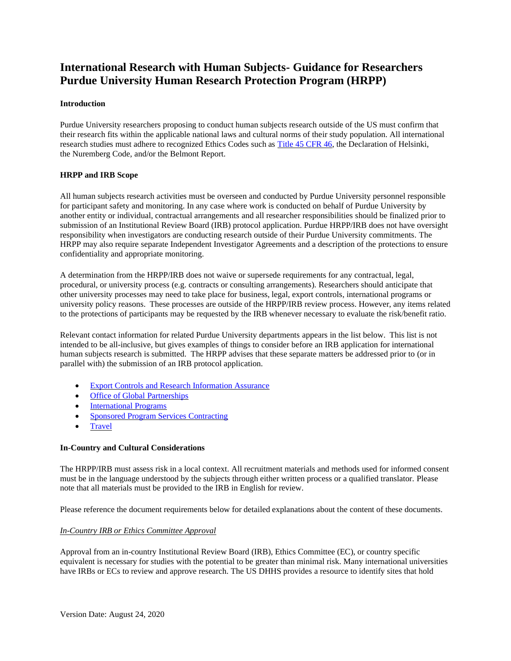# **International Research with Human Subjects- Guidance for Researchers Purdue University Human Research Protection Program (HRPP)**

#### **Introduction**

Purdue University researchers proposing to conduct human subjects research outside of the US must confirm that their research fits within the applicable national laws and cultural norms of their study population. All international research studies must adhere to recognized Ethics Codes such as [Title 45 CFR 46,](http://www.hhs.gov/ohrp/humansubjects/guidance/45cfr46.html) the Declaration of Helsinki, the Nuremberg Code, and/or the Belmont Report.

#### **HRPP and IRB Scope**

All human subjects research activities must be overseen and conducted by Purdue University personnel responsible for participant safety and monitoring. In any case where work is conducted on behalf of Purdue University by another entity or individual, contractual arrangements and all researcher responsibilities should be finalized prior to submission of an Institutional Review Board (IRB) protocol application. Purdue HRPP/IRB does not have oversight responsibility when investigators are conducting research outside of their Purdue University commitments. The HRPP may also require separate Independent Investigator Agreements and a description of the protections to ensure confidentiality and appropriate monitoring.

A determination from the HRPP/IRB does not waive or supersede requirements for any contractual, legal, procedural, or university process (e.g. contracts or consulting arrangements). Researchers should anticipate that other university processes may need to take place for business, legal, export controls, international programs or university policy reasons. These processes are outside of the HRPP/IRB review process. However, any items related to the protections of participants may be requested by the IRB whenever necessary to evaluate the risk/benefit ratio.

Relevant contact information for related Purdue University departments appears in the list below. This list is not intended to be all-inclusive, but gives examples of things to consider before an IRB application for international human subjects research is submitted. The HRPP advises that these separate matters be addressed prior to (or in parallel with) the submission of an IRB protocol application.

- [Export Controls](https://www.purdue.edu/research/regulatory-affairs/export-controls-and-research-information-assurance/international-research.php) and Research Information Assurance
- [Office of Global Partnerships](https://globalpartners.purdue.edu/)
- [International Programs](https://www.purdue.edu/IPPU/)
- [Sponsored Program Services Contracting](https://www.purdue.edu/business/sps/contractmgmt/index.html)
- **[Travel](https://www.purdue.edu/procurement/travel/regulations/international-travel.php)**

### **In-Country and Cultural Considerations**

The HRPP/IRB must assess risk in a local context. All recruitment materials and methods used for informed consent must be in the language understood by the subjects through either written process or a qualified translator. Please note that all materials must be provided to the IRB in English for review.

Please reference the document requirements below for detailed explanations about the content of these documents.

### *In-Country IRB or Ethics Committee Approval*

Approval from an in-country Institutional Review Board (IRB), Ethics Committee (EC), or country specific equivalent is necessary for studies with the potential to be greater than minimal risk. Many international universities have IRBs or ECs to review and approve research. The US DHHS provides a resource to identify sites that hold